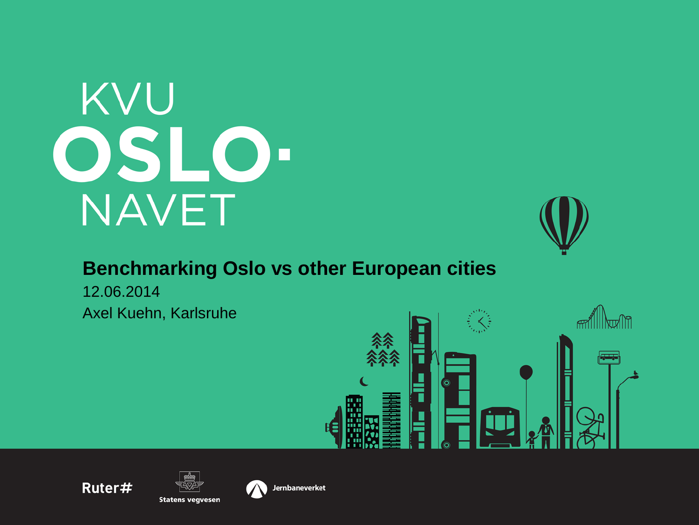# KVU OSLO-**NAVET**



#### **Benchmarking Oslo vs other European cities**

Axel Kuehn, Karlsruhe 12.06.2014







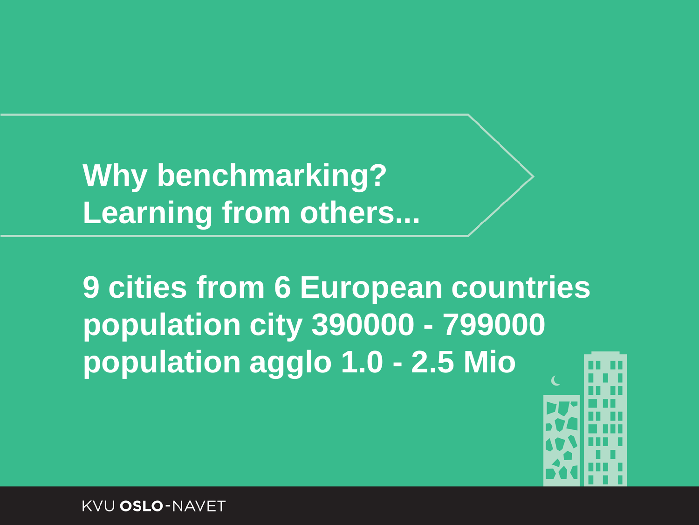**Why benchmarking? Learning from others...**

**9 cities from 6 European countries population city 390000 - 799000 population agglo 1.0 - 2.5 Mio**

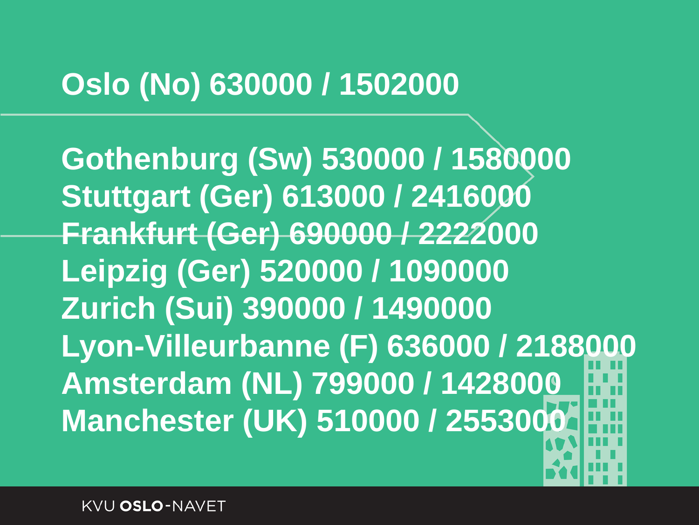#### **Oslo (No) 630000 / 1502000**

**Gothenburg (Sw) 530000 / 1580000 Stuttgart (Ger) 613000 / 2416000 Frankfurt (Ger) 690000 / 2222000 Leipzig (Ger) 520000 / 1090000 Zurich (Sui) 390000 / 1490000 Lyon-Villeurbanne (F) 636000 / 2188000 Amsterdam (NL) 799000 / 1428000 Manchester (UK) 510000 / 2553000**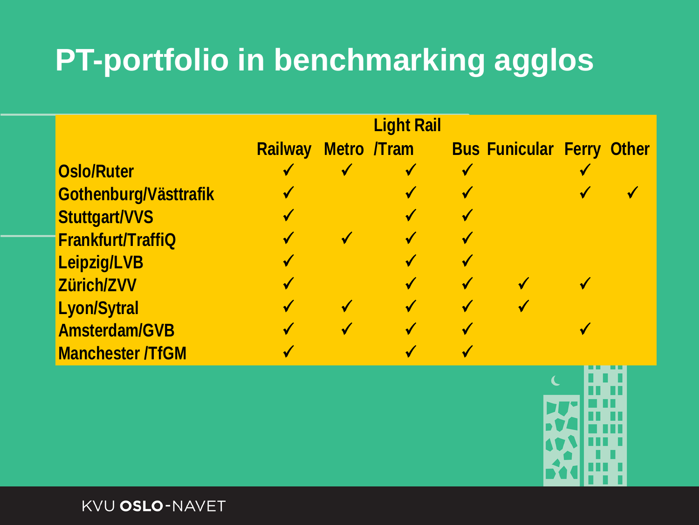## **PT-portfolio in benchmarking agglos**

|                         |                            | <b>Light Rail</b> |                                  |  |
|-------------------------|----------------------------|-------------------|----------------------------------|--|
|                         | <b>Railway Metro /Tram</b> |                   | <b>Bus Funicular Ferry Other</b> |  |
| <b>Oslo/Ruter</b>       |                            |                   |                                  |  |
| Gothenburg/Västtrafik   |                            |                   |                                  |  |
| <b>Stuttgart/VVS</b>    |                            |                   |                                  |  |
| Frankfurt/TraffiQ       | √                          |                   |                                  |  |
| Leipzig/LVB             |                            |                   |                                  |  |
| Zürich/ZVV              | √                          |                   |                                  |  |
| <b>Lyon/Sytral</b>      | √                          |                   |                                  |  |
| <b>Amsterdam/GVB</b>    |                            |                   |                                  |  |
| <b>Manchester /TfGM</b> |                            |                   |                                  |  |

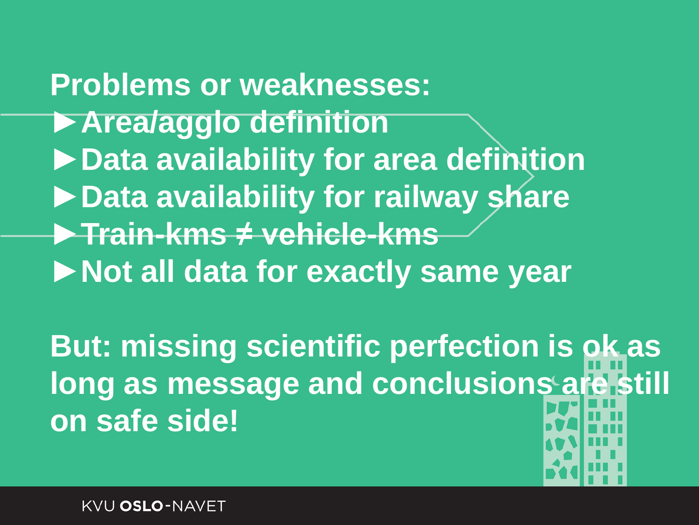**Problems or weaknesses: ►Area/agglo definition ►Data availability for area definition ►Data availability for railway share ►Train-kms ≠ vehicle-kms ►Not all data for exactly same year**

**But: missing scientific perfection is ok as long as message and conclusions are still on safe side!**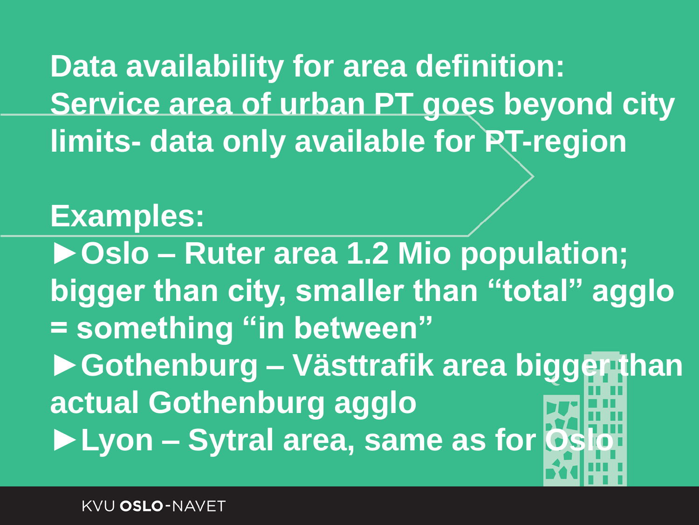**Data availability for area definition: Service area of urban PT goes beyond city limits- data only available for PT-region**

#### **Examples:**

**►Oslo – Ruter area 1.2 Mio population; bigger than city, smaller than "total" agglo = something "in between" ►Gothenburg – Västtrafik area bigger than actual Gothenburg agglo** ▶ Lyon – Sytral area, same as for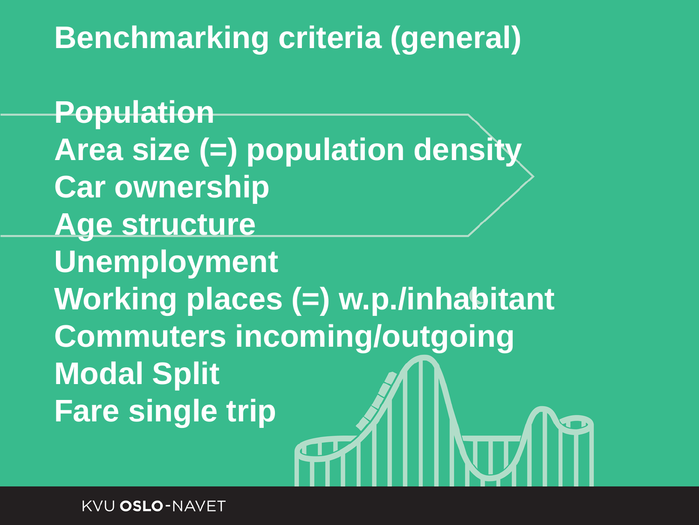#### **Benchmarking criteria (general)**

**Population Area size (=) population density Car ownership Age structure Unemployment Working places (=) w.p./inhabitant Commuters incoming/outgoing Modal Split Fare single trip**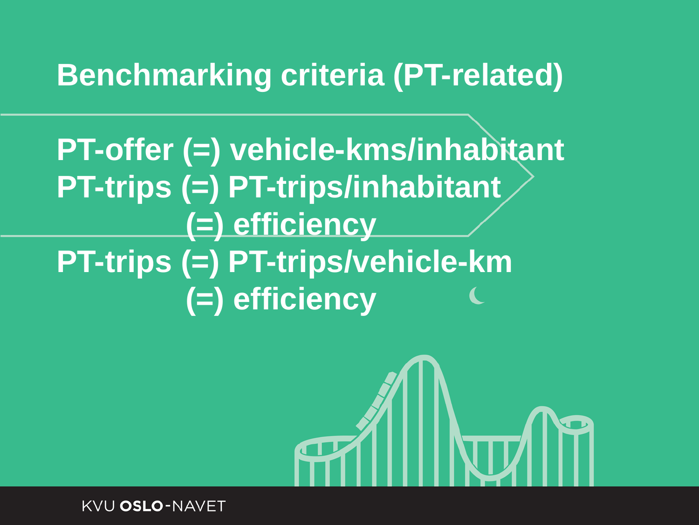#### **Benchmarking criteria (PT-related)**

**PT-offer (=) vehicle-kms/inhabitant PT-trips (=) PT-trips/inhabitant (=) efficiency PT-trips (=) PT-trips/vehicle-km (=) efficiency** 

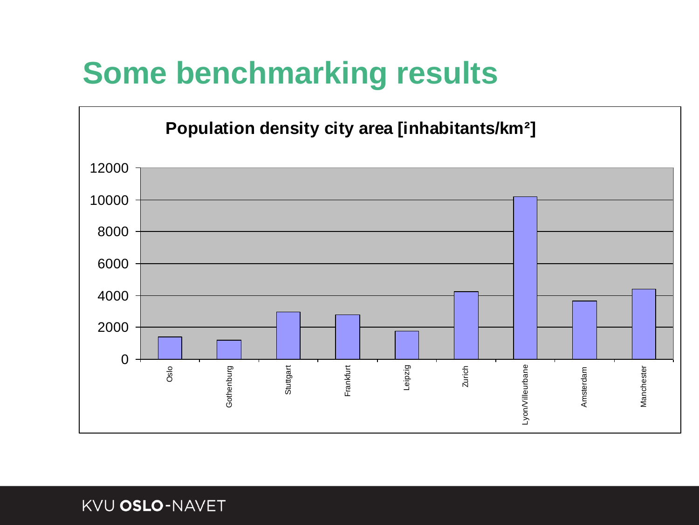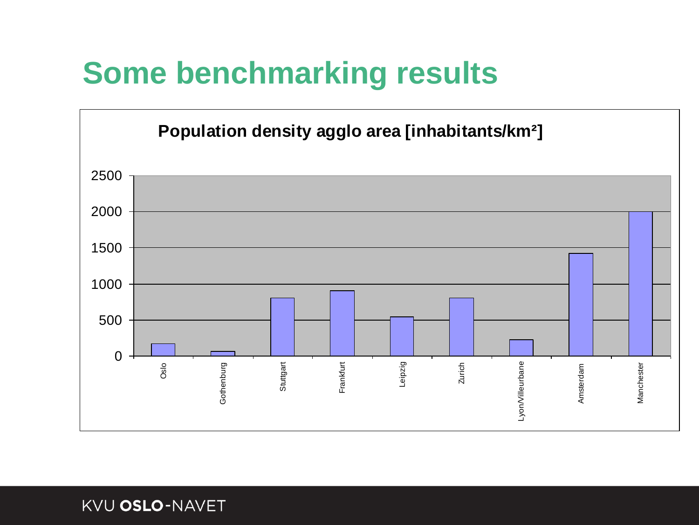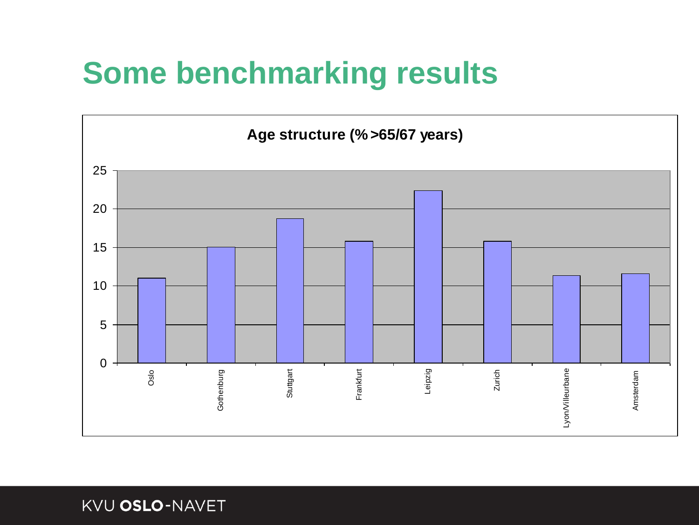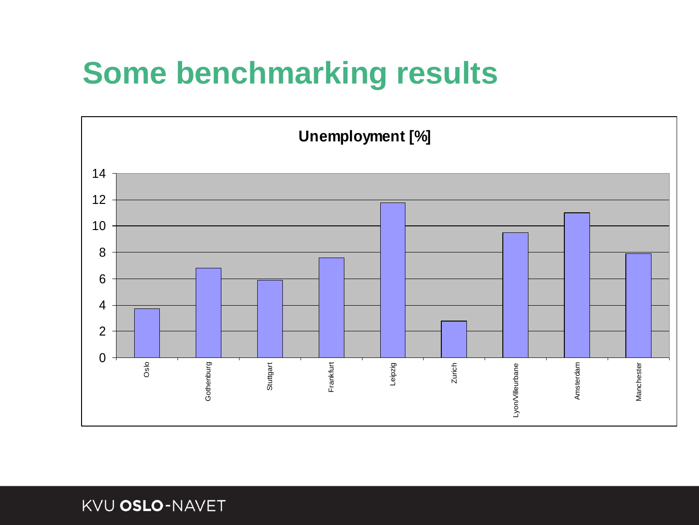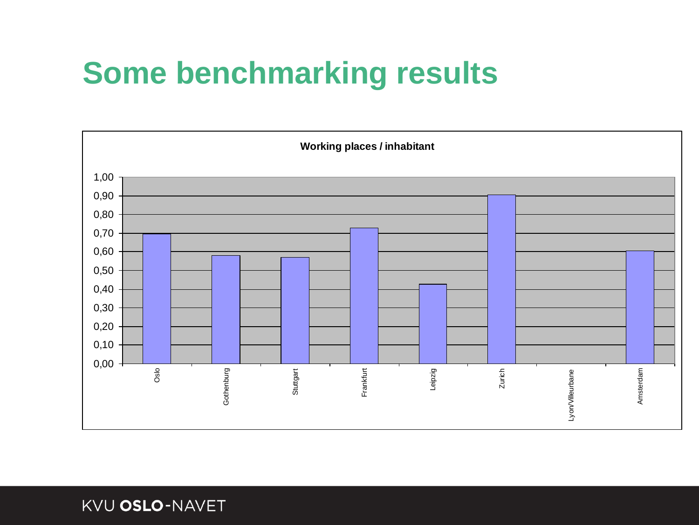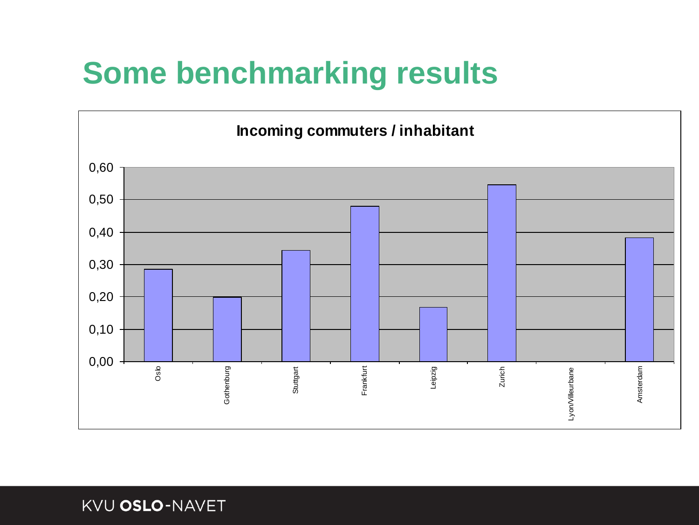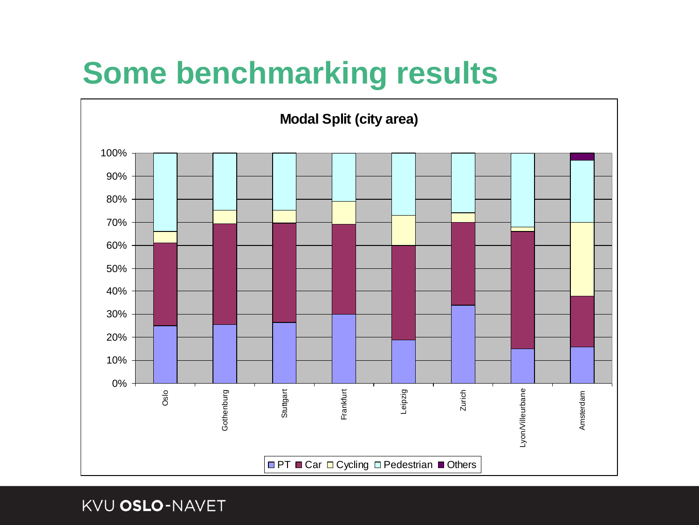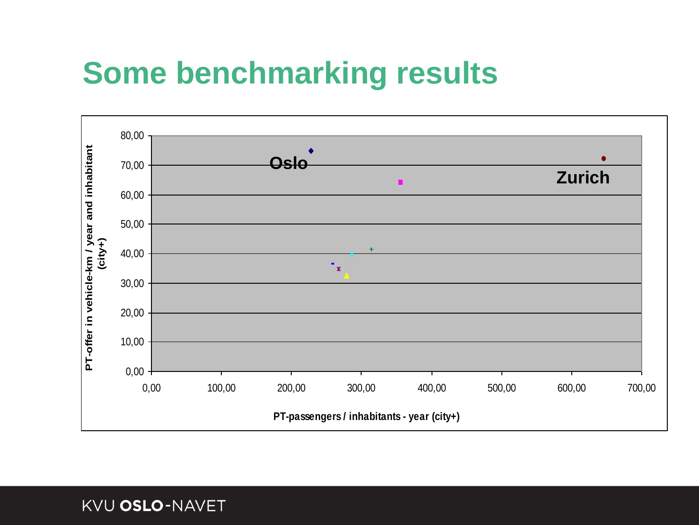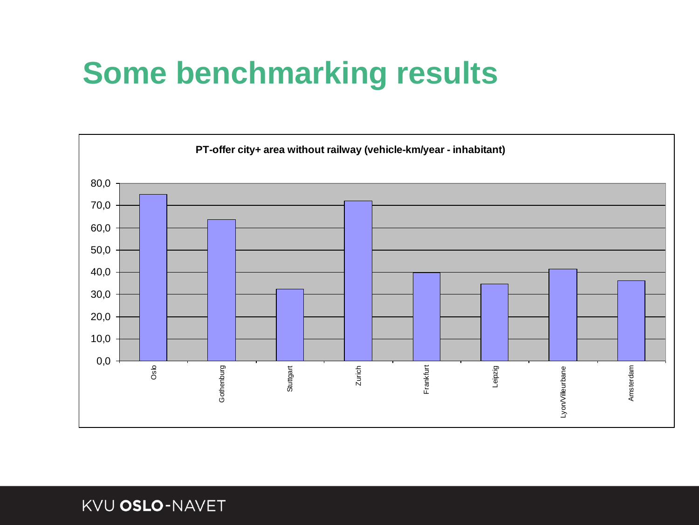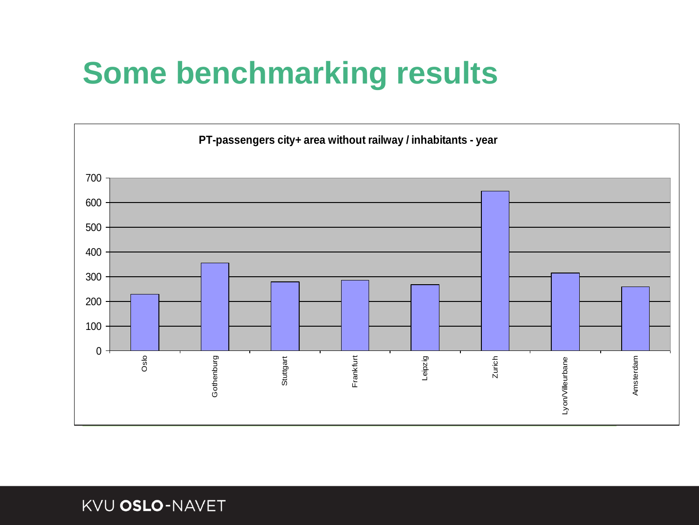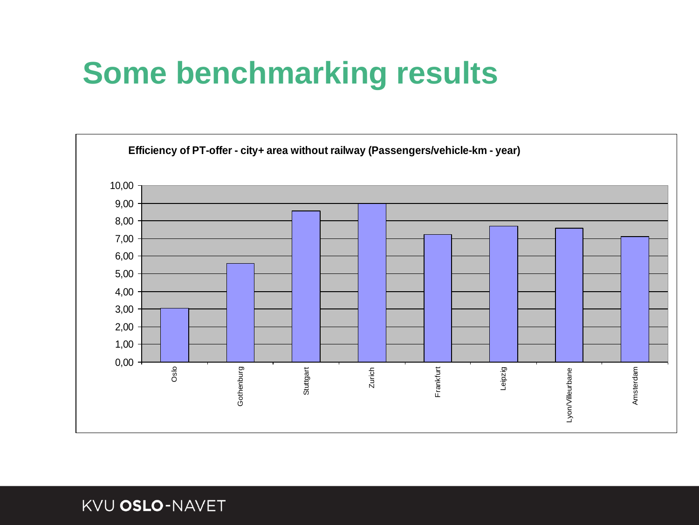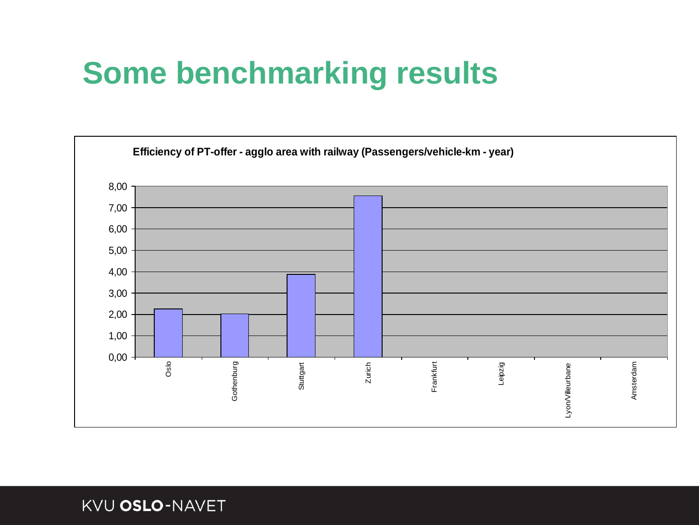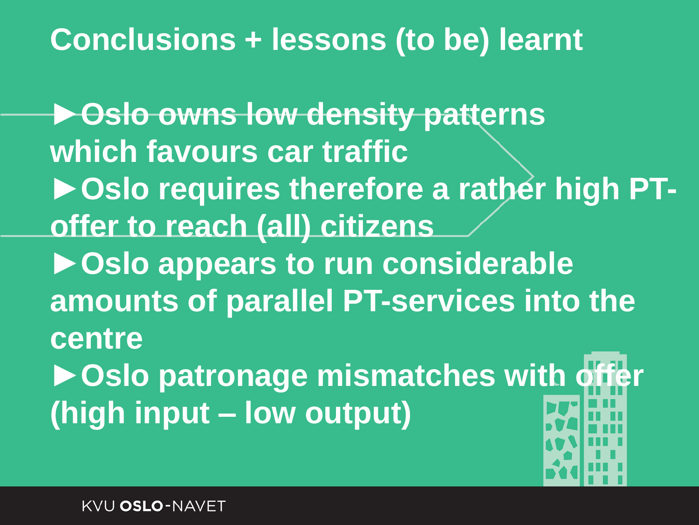#### **Conclusions + lessons (to be) learnt**

**►Oslo owns low density patterns which favours car traffic ►Oslo requires therefore a rather high PToffer to reach (all) citizens ►Oslo appears to run considerable amounts of parallel PT-services into the centre** ▶ Oslo patronage mismatches with **(high input – low output)**